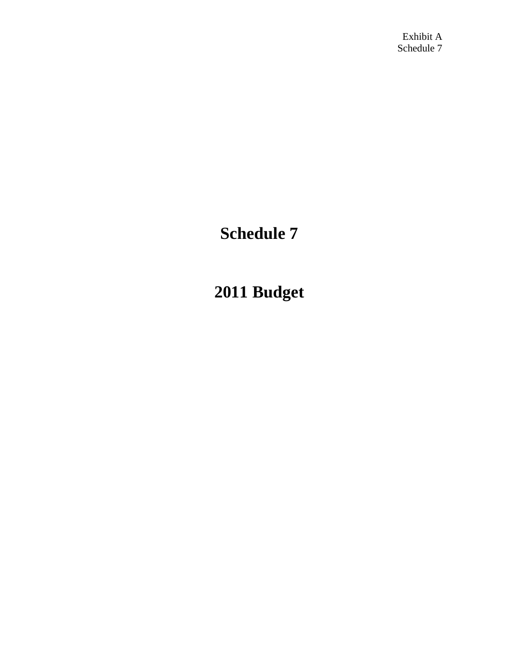# **Schedule 7**

# **2011 Budget**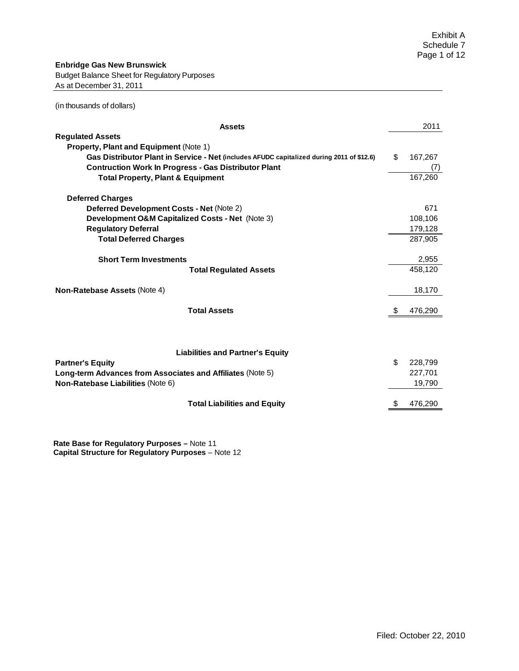| <b>Assets</b>                                                                             |    | 2011    |
|-------------------------------------------------------------------------------------------|----|---------|
| <b>Regulated Assets</b>                                                                   |    |         |
| <b>Property, Plant and Equipment (Note 1)</b>                                             |    |         |
| Gas Distributor Plant in Service - Net (includes AFUDC capitalized during 2011 of \$12.6) | \$ | 167,267 |
| <b>Contruction Work In Progress - Gas Distributor Plant</b>                               |    | (7)     |
| <b>Total Property, Plant &amp; Equipment</b>                                              |    | 167,260 |
| <b>Deferred Charges</b>                                                                   |    |         |
| Deferred Development Costs - Net (Note 2)                                                 |    | 671     |
| Development O&M Capitalized Costs - Net (Note 3)                                          |    | 108,106 |
| <b>Regulatory Deferral</b>                                                                |    | 179,128 |
| <b>Total Deferred Charges</b>                                                             |    | 287,905 |
| <b>Short Term Investments</b>                                                             |    | 2,955   |
| <b>Total Regulated Assets</b>                                                             |    | 458,120 |
| Non-Ratebase Assets (Note 4)                                                              |    | 18,170  |
| <b>Total Assets</b>                                                                       | \$ | 476,290 |
|                                                                                           |    |         |
| <b>Liabilities and Partner's Equity</b>                                                   |    |         |
| <b>Partner's Equity</b>                                                                   | \$ | 228,799 |
| Long-term Advances from Associates and Affiliates (Note 5)                                |    | 227,701 |
| Non-Ratebase Liabilities (Note 6)                                                         |    | 19,790  |
|                                                                                           |    |         |
| <b>Total Liabilities and Equity</b>                                                       | S  | 476,290 |

**Rate Base for Regulatory Purposes –** Note 11 **Capital Structure for Regulatory Purposes** – Note 12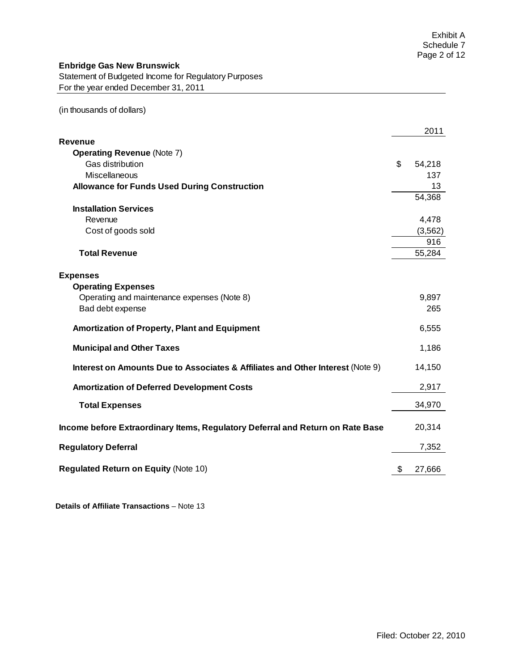# **Enbridge Gas New Brunswick**

Statement of Budgeted Income for Regulatory Purposes For the year ended December 31, 2011

(in thousands of dollars)

|                                                                                | 2011         |
|--------------------------------------------------------------------------------|--------------|
| Revenue                                                                        |              |
| <b>Operating Revenue (Note 7)</b>                                              |              |
| Gas distribution                                                               | \$<br>54,218 |
| Miscellaneous                                                                  | 137          |
| <b>Allowance for Funds Used During Construction</b>                            | 13           |
|                                                                                | 54,368       |
| <b>Installation Services</b>                                                   |              |
| Revenue                                                                        | 4,478        |
| Cost of goods sold                                                             | (3, 562)     |
|                                                                                | 916          |
| <b>Total Revenue</b>                                                           | 55,284       |
|                                                                                |              |
| <b>Expenses</b>                                                                |              |
| <b>Operating Expenses</b>                                                      |              |
| Operating and maintenance expenses (Note 8)                                    | 9,897        |
| Bad debt expense                                                               | 265          |
| <b>Amortization of Property, Plant and Equipment</b>                           | 6,555        |
| <b>Municipal and Other Taxes</b>                                               | 1,186        |
| Interest on Amounts Due to Associates & Affiliates and Other Interest (Note 9) | 14,150       |
| <b>Amortization of Deferred Development Costs</b>                              | 2,917        |
| <b>Total Expenses</b>                                                          | 34,970       |
| Income before Extraordinary Items, Regulatory Deferral and Return on Rate Base | 20,314       |
| <b>Regulatory Deferral</b>                                                     | 7,352        |
| <b>Regulated Return on Equity (Note 10)</b>                                    | \$<br>27,666 |

 **Details of Affiliate Transactions** – Note 13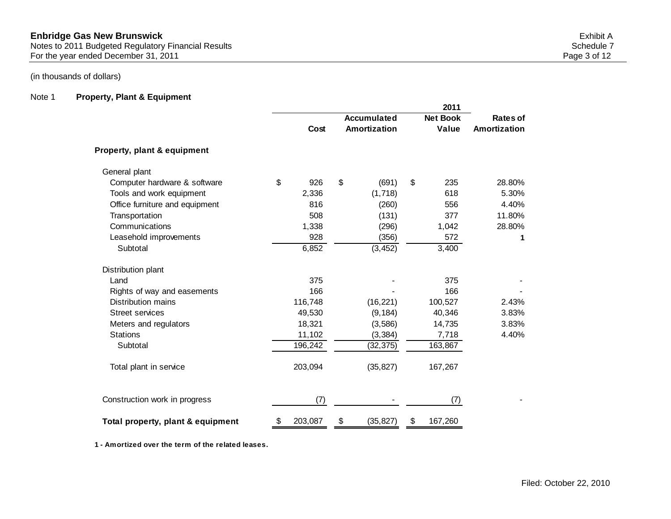## **Enbridge Gas New Brunswick** Exhibit A Notes to 2011 Budgeted Regulatory Financial Results Schedule 7 (Schedule 7 Schedule 7 Schedule 7 Schedule 7 Schedule 7 For the year ended December 31, 2011 2008 and the state of the year ended December 31, 2011

# (in thousands of dollars)

# Note 1 **Property, Plant & Equipment**

|                                   | 2011 |         |                    |              |    |                 |              |
|-----------------------------------|------|---------|--------------------|--------------|----|-----------------|--------------|
|                                   |      |         | <b>Accumulated</b> |              |    | <b>Net Book</b> | Rates of     |
|                                   |      | Cost    |                    | Amortization |    | Value           | Amortization |
| Property, plant & equipment       |      |         |                    |              |    |                 |              |
| General plant                     |      |         |                    |              |    |                 |              |
| Computer hardware & software      | \$   | 926     | \$                 | (691)        | \$ | 235             | 28.80%       |
| Tools and work equipment          |      | 2,336   |                    | (1,718)      |    | 618             | 5.30%        |
| Office furniture and equipment    |      | 816     |                    | (260)        |    | 556             | 4.40%        |
| Transportation                    |      | 508     |                    | (131)        |    | 377             | 11.80%       |
| Communications                    |      | 1,338   |                    | (296)        |    | 1,042           | 28.80%       |
| Leasehold improvements            |      | 928     |                    | (356)        |    | 572             | 1            |
| Subtotal                          |      | 6,852   |                    | (3, 452)     |    | 3,400           |              |
| Distribution plant                |      |         |                    |              |    |                 |              |
| Land                              |      | 375     |                    |              |    | 375             |              |
| Rights of way and easements       |      | 166     |                    |              |    | 166             |              |
| <b>Distribution mains</b>         |      | 116,748 |                    | (16, 221)    |    | 100,527         | 2.43%        |
| <b>Street services</b>            |      | 49,530  |                    | (9, 184)     |    | 40,346          | 3.83%        |
| Meters and regulators             |      | 18,321  |                    | (3,586)      |    | 14,735          | 3.83%        |
| <b>Stations</b>                   |      | 11,102  |                    | (3, 384)     |    | 7,718           | 4.40%        |
| Subtotal                          |      | 196,242 |                    | (32, 375)    |    | 163,867         |              |
| Total plant in service            |      | 203,094 |                    | (35, 827)    |    | 167,267         |              |
| Construction work in progress     |      | (7)     |                    |              |    | (7)             |              |
| Total property, plant & equipment | \$   | 203,087 | \$                 | (35, 827)    | \$ | 167,260         |              |

**1 - Amortized over the term of the related leases.**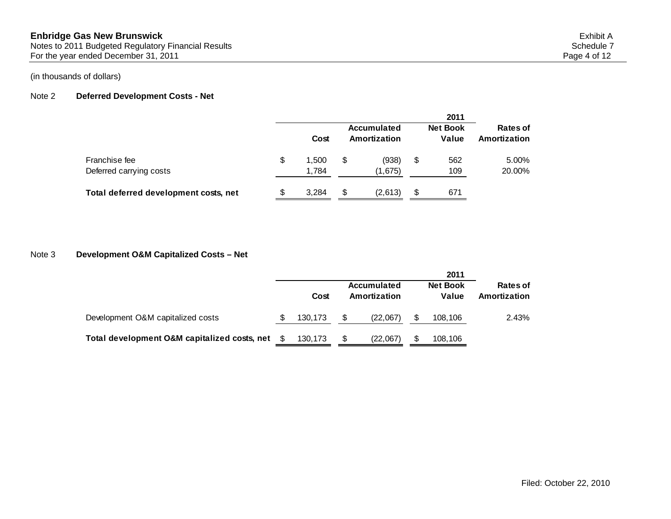# Note 2 **Deferred Development Costs - Net**

|                                          |                      |                             | 2011                     |                          |
|------------------------------------------|----------------------|-----------------------------|--------------------------|--------------------------|
|                                          | Cost                 | Accumulated<br>Amortization | <b>Net Book</b><br>Value | Rates of<br>Amortization |
| Franchise fee<br>Deferred carrying costs | \$<br>1.500<br>1,784 | \$<br>(938)<br>(1,675)      | \$<br>562<br>109         | 5.00%<br>20.00%          |
| Total deferred development costs, net    | 3.284                | \$<br>(2,613)               | \$<br>671                |                          |

# Note 3 **Development O&M Capitalized Costs – Net**

|                                              |         |                             | 2011                     |                                 |
|----------------------------------------------|---------|-----------------------------|--------------------------|---------------------------------|
|                                              | Cost    | Accumulated<br>Amortization | <b>Net Book</b><br>Value | <b>Rates of</b><br>Amortization |
| Development O&M capitalized costs            | 130,173 | \$<br>(22,067)              | 108,106                  | 2.43%                           |
| Total development O&M capitalized costs, net | 130.173 | \$<br>(22.067)              | 108.106                  |                                 |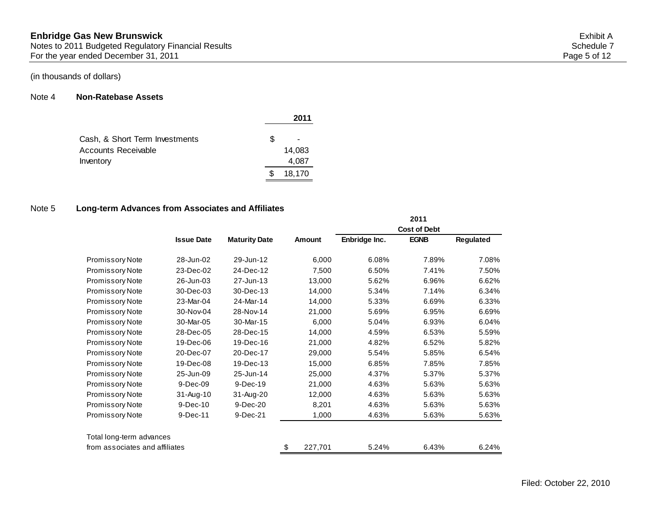## Note 4 **Non-Ratebase Assets**

|                                |   | 2011   |
|--------------------------------|---|--------|
| Cash, & Short Term Investments | S |        |
| Accounts Receivable            |   | 14,083 |
| Inventory                      |   | 4,087  |
|                                | S | 18,170 |

# Note 5 **Long-term Advances from Associates and Affiliates**

|                                |                   |                      |               |               | 2011                |           |
|--------------------------------|-------------------|----------------------|---------------|---------------|---------------------|-----------|
|                                |                   |                      |               |               | <b>Cost of Debt</b> |           |
|                                | <b>Issue Date</b> | <b>Maturity Date</b> | Amount        | Enbridge Inc. | <b>EGNB</b>         | Regulated |
| <b>Promissory Note</b>         | 28-Jun-02         | 29-Jun-12            | 6,000         | 6.08%         | 7.89%               | 7.08%     |
| <b>Promissory Note</b>         | 23-Dec-02         | 24-Dec-12            | 7,500         | 6.50%         | 7.41%               | 7.50%     |
| Promissory Note                | 26-Jun-03         | 27-Jun-13            | 13,000        | 5.62%         | 6.96%               | 6.62%     |
| <b>Promissory Note</b>         | 30-Dec-03         | 30-Dec-13            | 14,000        | 5.34%         | 7.14%               | 6.34%     |
| <b>Promissory Note</b>         | 23-Mar-04         | 24-Mar-14            | 14,000        | 5.33%         | 6.69%               | 6.33%     |
| <b>Promissory Note</b>         | 30-Nov-04         | 28-Nov-14            | 21,000        | 5.69%         | 6.95%               | 6.69%     |
| Promissory Note                | 30-Mar-05         | 30-Mar-15            | 6,000         | 5.04%         | 6.93%               | 6.04%     |
| <b>Promissory Note</b>         | 28-Dec-05         | 28-Dec-15            | 14,000        | 4.59%         | 6.53%               | 5.59%     |
| Promissory Note                | 19-Dec-06         | 19-Dec-16            | 21,000        | 4.82%         | 6.52%               | 5.82%     |
| <b>Promissory Note</b>         | 20-Dec-07         | 20-Dec-17            | 29,000        | 5.54%         | 5.85%               | 6.54%     |
| Promissory Note                | 19-Dec-08         | 19-Dec-13            | 15,000        | 6.85%         | 7.85%               | 7.85%     |
| Promissory Note                | 25-Jun-09         | 25-Jun-14            | 25,000        | 4.37%         | 5.37%               | 5.37%     |
| <b>Promissory Note</b>         | 9-Dec-09          | 9-Dec-19             | 21,000        | 4.63%         | 5.63%               | 5.63%     |
| Promissory Note                | $31 - Aug-10$     | 31-Aug-20            | 12,000        | 4.63%         | 5.63%               | 5.63%     |
| <b>Promissory Note</b>         | $9-Dec-10$        | 9-Dec-20             | 8,201         | 4.63%         | 5.63%               | 5.63%     |
| <b>Promissory Note</b>         | $9-Dec-11$        | 9-Dec-21             | 1,000         | 4.63%         | 5.63%               | 5.63%     |
| Total long-term advances       |                   |                      |               |               |                     |           |
| from associates and affiliates |                   |                      | \$<br>227,701 | 5.24%         | 6.43%               | 6.24%     |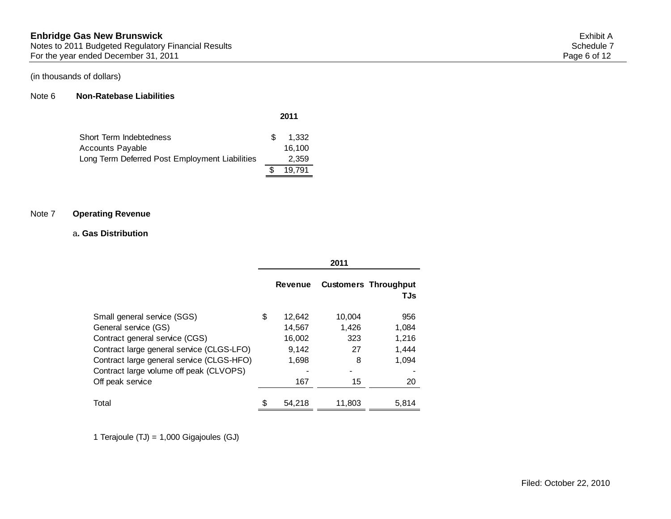#### Note 6 **Non-Ratebase Liabilities**

| Short Term Indebtedness                        | \$. | 1.332  |
|------------------------------------------------|-----|--------|
| Accounts Payable                               |     | 16.100 |
| Long Term Deferred Post Employment Liabilities |     | 2,359  |
|                                                |     | 19.791 |

## Note 7 **Operating Revenue**

#### a**. Gas Distribution**

|                                           |    |                | 2011   |                                    |
|-------------------------------------------|----|----------------|--------|------------------------------------|
|                                           |    | <b>Revenue</b> |        | <b>Customers Throughput</b><br>TJs |
| Small general service (SGS)               | \$ | 12,642         | 10.004 | 956                                |
| General service (GS)                      |    | 14,567         | 1,426  | 1,084                              |
| Contract general service (CGS)            |    | 16,002         | 323    | 1,216                              |
| Contract large general service (CLGS-LFO) |    | 9,142          | 27     | 1,444                              |
| Contract large general service (CLGS-HFO) |    | 1,698          | 8      | 1,094                              |
| Contract large volume off peak (CLVOPS)   |    |                |        |                                    |
| Off peak service                          |    | 167            | 15     | 20                                 |
|                                           |    |                |        |                                    |
| Total                                     | S  | 54.218         | 11.803 | 5.814                              |

**2011**

1 Terajoule (TJ) = 1,000 Gigajoules (GJ)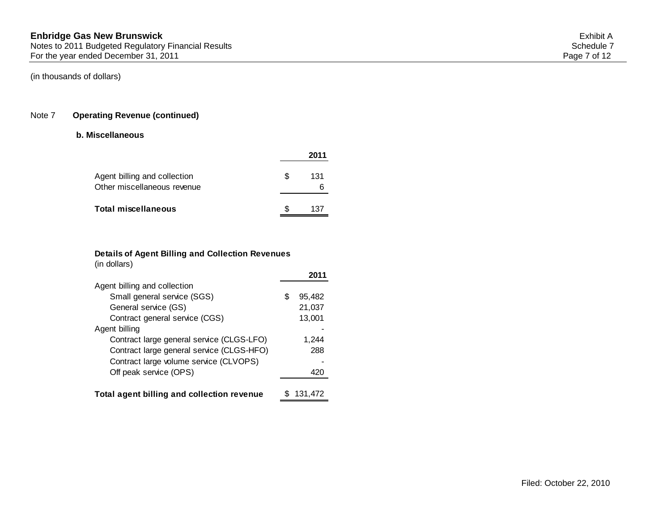## Note 7 **Operating Revenue (continued)**

#### **b. Miscellaneous**

| Agent billing and collection<br>Other miscellaneous revenue | \$. | 131 |
|-------------------------------------------------------------|-----|-----|
| <b>Total miscellaneous</b>                                  |     | 137 |

## **Details of Agent Billing and Collection Revenues** (in dollars)

|                                            |   | 2011    |
|--------------------------------------------|---|---------|
| Agent billing and collection               |   |         |
| Small general service (SGS)                | S | 95,482  |
| General service (GS)                       |   | 21,037  |
| Contract general service (CGS)             |   | 13,001  |
| Agent billing                              |   |         |
| Contract large general service (CLGS-LFO)  |   | 1,244   |
| Contract large general service (CLGS-HFO)  |   | 288     |
| Contract large volume service (CLVOPS)     |   |         |
| Off peak service (OPS)                     |   | 420     |
|                                            |   |         |
| Total agent billing and collection revenue |   | 131.472 |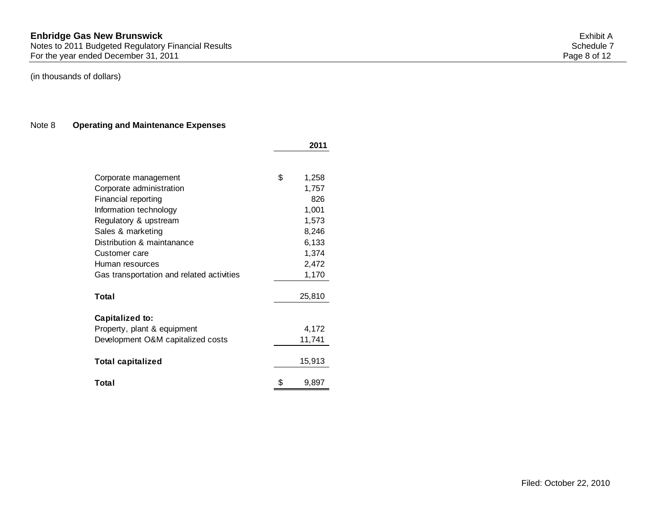Notes to 2011 Budgeted Regulatory Financial Results Schedule 7 (Schedule 7 Schedule 7 Schedule 7 Schedule 7 Schedule 7 For the year ended December 31, 2011 2008 and the state of the Vertex of the Vertex of the Vertex of the Page 8 of 12

# (in thousands of dollars)

# Note 8 **Operating and Maintenance Expenses**

|                                           | 2011        |
|-------------------------------------------|-------------|
|                                           |             |
| Corporate management                      | \$<br>1,258 |
| Corporate administration                  | 1,757       |
| Financial reporting                       | 826         |
| Information technology                    | 1,001       |
| Regulatory & upstream                     | 1,573       |
| Sales & marketing                         | 8,246       |
| Distribution & maintanance                | 6,133       |
| Customer care                             | 1,374       |
| Human resources                           | 2,472       |
| Gas transportation and related activities | 1,170       |
|                                           |             |
| Total                                     | 25,810      |
| <b>Capitalized to:</b>                    |             |
| Property, plant & equipment               | 4,172       |
| Development O&M capitalized costs         | 11,741      |
| <b>Total capitalized</b>                  | 15,913      |
| Total                                     | \$<br>9,897 |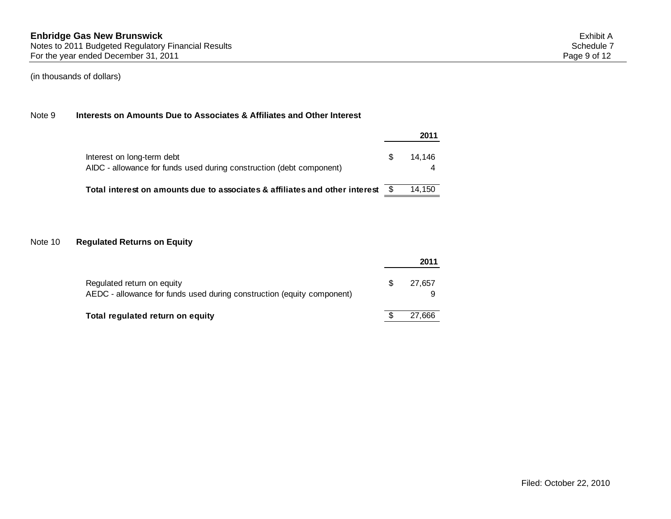## Note 9 **Interests on Amounts Due to Associates & Affiliates and Other Interest**

|                                                                                                    |    | 2011   |
|----------------------------------------------------------------------------------------------------|----|--------|
| Interest on long-term debt<br>AIDC - allowance for funds used during construction (debt component) | S. | 14.146 |
| Total interest on amounts due to associates & affiliates and other interest \$                     |    | 14.150 |

# Note 10 **Regulated Returns on Equity**

|                                                                                                      | 2011   |
|------------------------------------------------------------------------------------------------------|--------|
| Regulated return on equity<br>AEDC - allowance for funds used during construction (equity component) | 27.657 |
| Total regulated return on equity                                                                     | 27.666 |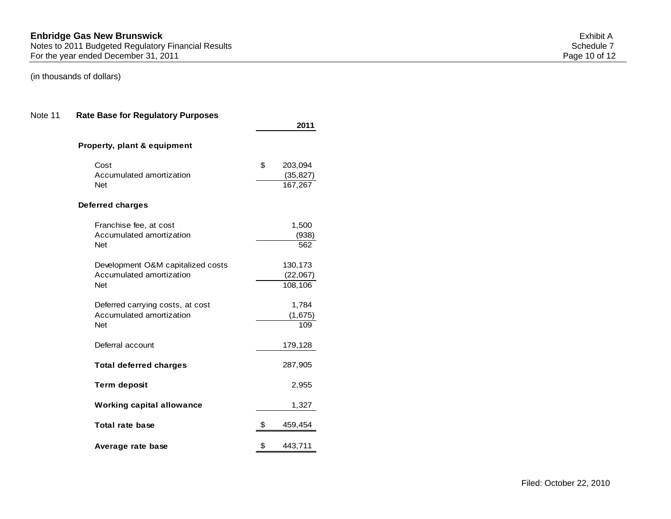# Note 11 **Rate Base for Regulatory Purposes**

|                                   | 2011          |
|-----------------------------------|---------------|
| Property, plant & equipment       |               |
| Cost                              | \$<br>203,094 |
| Accumulated amortization          | (35, 827)     |
| <b>Net</b>                        | 167,267       |
| Deferred charges                  |               |
| Franchise fee, at cost            | 1,500         |
| Accumulated amortization          | (938)         |
| <b>Net</b>                        | 562           |
| Development O&M capitalized costs | 130,173       |
| Accumulated amortization          | (22,067)      |
| <b>Net</b>                        | 108,106       |
| Deferred carrying costs, at cost  | 1,784         |
| Accumulated amortization          | (1,675)       |
| <b>Net</b>                        | 109           |
| Deferral account                  | 179,128       |
| <b>Total deferred charges</b>     | 287,905       |
| <b>Term deposit</b>               | 2,955         |
| <b>Working capital allowance</b>  | 1,327         |
| <b>Total rate base</b>            | \$<br>459,454 |
| Average rate base                 | \$<br>443,711 |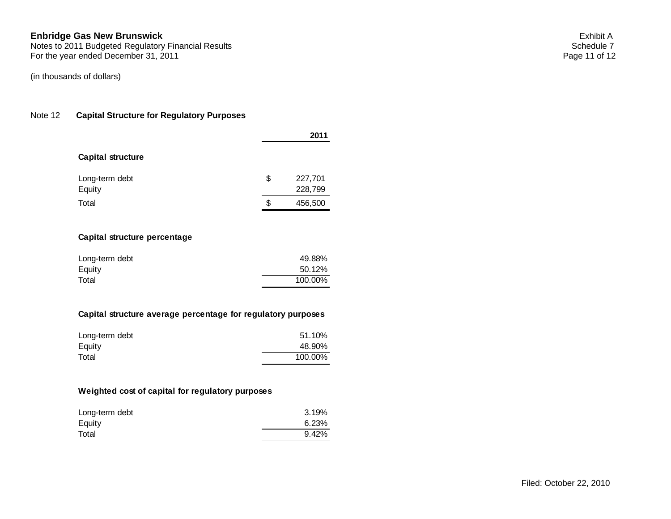## Note 12 **Capital Structure for Regulatory Purposes**

|                          | 2011                     |  |
|--------------------------|--------------------------|--|
| <b>Capital structure</b> |                          |  |
| Long-term debt<br>Equity | \$<br>227,701<br>228,799 |  |
| Total                    | \$<br>456,500            |  |

## **Capital structure percentage**

| Long-term debt | 49.88%  |
|----------------|---------|
| Equity         | 50.12%  |
| Total          | 100.00% |

## **Capital structure average percentage for regulatory purposes**

| Long-term debt | 51.10%  |
|----------------|---------|
| Equity         | 48.90%  |
| Total          | 100.00% |

## **Weighted cost of capital for regulatory purposes**

| Long-term debt | 3.19% |
|----------------|-------|
| Equity         | 6.23% |
| Total          | 9.42% |